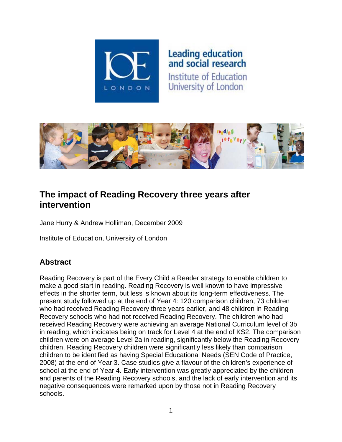

# Leading education<br>and social research

Institute of Education University of London



# **The impact of Reading Recovery three years after intervention**

Jane Hurry & Andrew Holliman, December 2009

Institute of Education, University of London

# **Abstract**

Reading Recovery is part of the Every Child a Reader strategy to enable children to make a good start in reading. Reading Recovery is well known to have impressive effects in the shorter term, but less is known about its long-term effectiveness. The present study followed up at the end of Year 4: 120 comparison children, 73 children who had received Reading Recovery three years earlier, and 48 children in Reading Recovery schools who had not received Reading Recovery. The children who had received Reading Recovery were achieving an average National Curriculum level of 3b in reading, which indicates being on track for Level 4 at the end of KS2. The comparison children were on average Level 2a in reading, significantly below the Reading Recovery children. Reading Recovery children were significantly less likely than comparison children to be identified as having Special Educational Needs (SEN Code of Practice, 2008) at the end of Year 3. Case studies give a flavour of the children's experience of school at the end of Year 4. Early intervention was greatly appreciated by the children and parents of the Reading Recovery schools, and the lack of early intervention and its negative consequences were remarked upon by those not in Reading Recovery schools.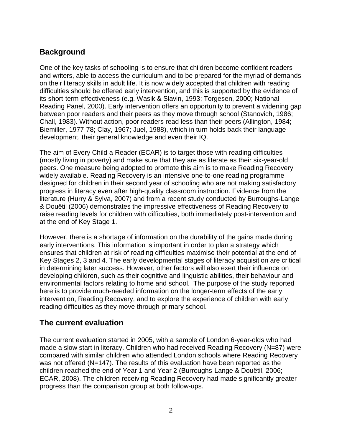## **Background**

One of the key tasks of schooling is to ensure that children become confident readers and writers, able to access the curriculum and to be prepared for the myriad of demands on their literacy skills in adult life. It is now widely accepted that children with reading difficulties should be offered early intervention, and this is supported by the evidence of its short-term effectiveness (e.g. Wasik & Slavin, 1993; Torgesen, 2000; National Reading Panel, 2000). Early intervention offers an opportunity to prevent a widening gap between poor readers and their peers as they move through school (Stanovich, 1986; Chall, 1983). Without action, poor readers read less than their peers (Allington, 1984; Biemiller, 1977-78; Clay, 1967; Juel, 1988), which in turn holds back their language development, their general knowledge and even their IQ.

The aim of Every Child a Reader (ECAR) is to target those with reading difficulties (mostly living in poverty) and make sure that they are as literate as their six-year-old peers. One measure being adopted to promote this aim is to make Reading Recovery widely available. Reading Recovery is an intensive one-to-one reading programme designed for children in their second year of schooling who are not making satisfactory progress in literacy even after high-quality classroom instruction. Evidence from the literature (Hurry & Sylva, 2007) and from a recent study conducted by Burroughs-Lange & Douëtil (2006) demonstrates the impressive effectiveness of Reading Recovery to raise reading levels for children with difficulties, both immediately post-intervention and at the end of Key Stage 1.

However, there is a shortage of information on the durability of the gains made during early interventions. This information is important in order to plan a strategy which ensures that children at risk of reading difficulties maximise their potential at the end of Key Stages 2, 3 and 4. The early developmental stages of literacy acquisition are critical in determining later success. However, other factors will also exert their influence on developing children, such as their cognitive and linguistic abilities, their behaviour and environmental factors relating to home and school. The purpose of the study reported here is to provide much-needed information on the longer-term effects of the early intervention, Reading Recovery, and to explore the experience of children with early reading difficulties as they move through primary school.

#### **The current evaluation**

The current evaluation started in 2005, with a sample of London 6-year-olds who had made a slow start in literacy. Children who had received Reading Recovery (N=87) were compared with similar children who attended London schools where Reading Recovery was not offered (N=147). The results of this evaluation have been reported as the children reached the end of Year 1 and Year 2 (Burroughs-Lange & Douëtil, 2006; ECAR, 2008). The children receiving Reading Recovery had made significantly greater progress than the comparison group at both follow-ups.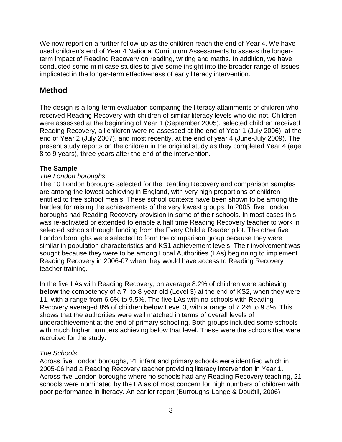We now report on a further follow-up as the children reach the end of Year 4. We have used children's end of Year 4 National Curriculum Assessments to assess the longerterm impact of Reading Recovery on reading, writing and maths. In addition, we have conducted some mini case studies to give some insight into the broader range of issues implicated in the longer-term effectiveness of early literacy intervention.

## **Method**

The design is a long-term evaluation comparing the literacy attainments of children who received Reading Recovery with children of similar literacy levels who did not. Children were assessed at the beginning of Year 1 (September 2005), selected children received Reading Recovery, all children were re-assessed at the end of Year 1 (July 2006), at the end of Year 2 (July 2007), and most recently, at the end of year 4 (June-July 2009). The present study reports on the children in the original study as they completed Year 4 (age 8 to 9 years), three years after the end of the intervention.

#### **The Sample**

#### *The London boroughs*

The 10 London boroughs selected for the Reading Recovery and comparison samples are among the lowest achieving in England, with very high proportions of children entitled to free school meals. These school contexts have been shown to be among the hardest for raising the achievements of the very lowest groups. In 2005, five London boroughs had Reading Recovery provision in some of their schools. In most cases this was re-activated or extended to enable a half time Reading Recovery teacher to work in selected schools through funding from the Every Child a Reader pilot. The other five London boroughs were selected to form the comparison group because they were similar in population characteristics and KS1 achievement levels. Their involvement was sought because they were to be among Local Authorities (LAs) beginning to implement Reading Recovery in 2006-07 when they would have access to Reading Recovery teacher training.

In the five LAs with Reading Recovery, on average 8.2% of children were achieving **below** the competency of a 7- to 8-year-old (Level 3) at the end of KS2, when they were 11, with a range from 6.6% to 9.5%. The five LAs with no schools with Reading Recovery averaged 8% of children **below** Level 3, with a range of 7.2% to 9.8%. This shows that the authorities were well matched in terms of overall levels of underachievement at the end of primary schooling. Both groups included some schools with much higher numbers achieving below that level. These were the schools that were recruited for the study.

#### *The Schools*

Across five London boroughs, 21 infant and primary schools were identified which in 2005-06 had a Reading Recovery teacher providing literacy intervention in Year 1. Across five London boroughs where no schools had any Reading Recovery teaching, 21 schools were nominated by the LA as of most concern for high numbers of children with poor performance in literacy. An earlier report (Burroughs-Lange & Douëtil, 2006)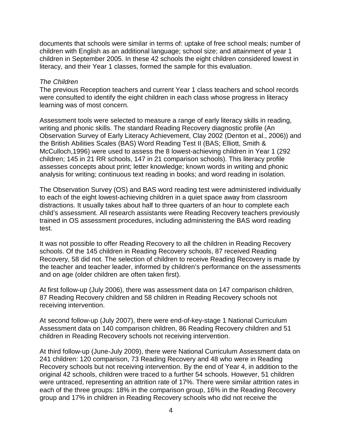documents that schools were similar in terms of: uptake of free school meals; number of children with English as an additional language; school size; and attainment of year 1 children in September 2005. In these 42 schools the eight children considered lowest in literacy, and their Year 1 classes, formed the sample for this evaluation.

#### *The Children*

The previous Reception teachers and current Year 1 class teachers and school records were consulted to identify the eight children in each class whose progress in literacy learning was of most concern.

Assessment tools were selected to measure a range of early literacy skills in reading, writing and phonic skills. The standard Reading Recovery diagnostic profile (An Observation Survey of Early Literacy Achievement, Clay 2002 (Denton et al., 2006)) and the British Abilities Scales (BAS) Word Reading Test II (BAS; Elliott, Smith & McCulloch,1996) were used to assess the 8 lowest-achieving children in Year 1 (292 children; 145 in 21 RR schools, 147 in 21 comparison schools). This literacy profile assesses concepts about print; letter knowledge; known words in writing and phonic analysis for writing; continuous text reading in books; and word reading in isolation.

The Observation Survey (OS) and BAS word reading test were administered individually to each of the eight lowest-achieving children in a quiet space away from classroom distractions. It usually takes about half to three quarters of an hour to complete each child's assessment. All research assistants were Reading Recovery teachers previously trained in OS assessment procedures, including administering the BAS word reading test.

It was not possible to offer Reading Recovery to all the children in Reading Recovery schools. Of the 145 children in Reading Recovery schools, 87 received Reading Recovery, 58 did not. The selection of children to receive Reading Recovery is made by the teacher and teacher leader, informed by children's performance on the assessments and on age (older children are often taken first).

At first follow-up (July 2006), there was assessment data on 147 comparison children, 87 Reading Recovery children and 58 children in Reading Recovery schools not receiving intervention.

At second follow-up (July 2007), there were end-of-key-stage 1 National Curriculum Assessment data on 140 comparison children, 86 Reading Recovery children and 51 children in Reading Recovery schools not receiving intervention.

At third follow-up (June-July 2009), there were National Curriculum Assessment data on 241 children: 120 comparison, 73 Reading Recovery and 48 who were in Reading Recovery schools but not receiving intervention. By the end of Year 4, in addition to the original 42 schools, children were traced to a further 54 schools. However, 51 children were untraced, representing an attrition rate of 17%. There were similar attrition rates in each of the three groups: 18% in the comparison group, 16% in the Reading Recovery group and 17% in children in Reading Recovery schools who did not receive the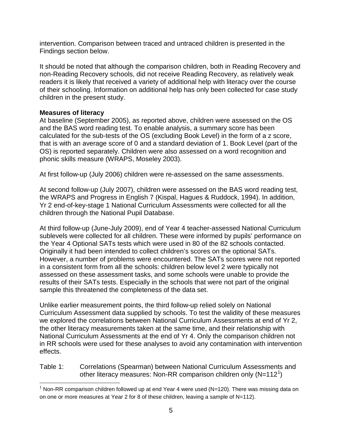intervention. Comparison between traced and untraced children is presented in the Findings section below.

It should be noted that although the comparison children, both in Reading Recovery and non-Reading Recovery schools, did not receive Reading Recovery, as relatively weak readers it is likely that received a variety of additional help with literacy over the course of their schooling. Information on additional help has only been collected for case study children in the present study.

#### **Measures of literacy**

At baseline (September 2005), as reported above, children were assessed on the OS and the BAS word reading test. To enable analysis, a summary score has been calculated for the sub-tests of the OS (excluding Book Level) in the form of a z score, that is with an average score of 0 and a standard deviation of 1. Book Level (part of the OS) is reported separately. Children were also assessed on a word recognition and phonic skills measure (WRAPS, Moseley 2003).

At first follow-up (July 2006) children were re-assessed on the same assessments.

At second follow-up (July 2007), children were assessed on the BAS word reading test, the WRAPS and Progress in English 7 (Kispal, Hagues & Ruddock, 1994). In addition, Yr 2 end-of-key-stage 1 National Curriculum Assessments were collected for all the children through the National Pupil Database.

At third follow-up (June-July 2009), end of Year 4 teacher-assessed National Curriculum sublevels were collected for all children. These were informed by pupils' performance on the Year 4 Optional SATs tests which were used in 80 of the 82 schools contacted. Originally it had been intended to collect children's scores on the optional SATs. However, a number of problems were encountered. The SATs scores were not reported in a consistent form from all the schools: children below level 2 were typically not assessed on these assessment tasks, and some schools were unable to provide the results of their SATs tests. Especially in the schools that were not part of the original sample this threatened the completeness of the data set.

Unlike earlier measurement points, the third follow-up relied solely on National Curriculum Assessment data supplied by schools. To test the validity of these measures we explored the correlations between National Curriculum Assessments at end of Yr 2, the other literacy measurements taken at the same time, and their relationship with National Curriculum Assessments at the end of Yr 4. Only the comparison children not in RR schools were used for these analyses to avoid any contamination with intervention effects.

Table 1: Correlations (Spearman) between National Curriculum Assessments and other literacy measures: Non-RR comparison children only (N=[1](#page-4-0)12<sup>1</sup>)

<span id="page-4-0"></span> $1$  Non-RR comparison children followed up at end Year 4 were used (N=120). There was missing data on on one or more measures at Year 2 for 8 of these children, leaving a sample of  $N=112$ ).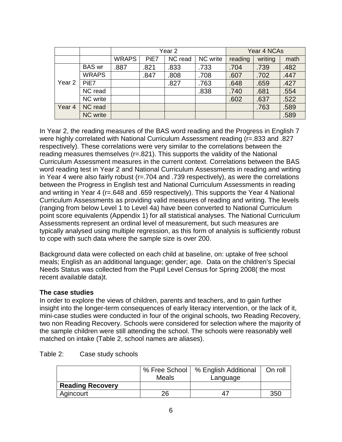|        |                 |              | Year <sub>2</sub> |         |          |         | Year 4 NCAs |      |
|--------|-----------------|--------------|-------------------|---------|----------|---------|-------------|------|
|        |                 | <b>WRAPS</b> | PiE7              | NC read | NC write | reading | writing     | math |
|        | <b>BAS</b> wr   | .887         | .821              | .833    | .733     | .704    | .739        | .482 |
|        | <b>WRAPS</b>    |              | .847              | .808    | .708     | .607    | .702        | .447 |
| Year 2 | PiE7            |              |                   | .827    | .763     | .648    | .659        | .427 |
|        | NC read         |              |                   |         | .838     | .740    | .681        | .554 |
|        | NC write        |              |                   |         |          | .602    | .637        | .522 |
| Year 4 | NC read         |              |                   |         |          |         | .763        | .589 |
|        | <b>NC</b> write |              |                   |         |          |         |             | .589 |

In Year 2, the reading measures of the BAS word reading and the Progress in English 7 were highly correlated with National Curriculum Assessment reading (r=.833 and .827 respectively). These correlations were very similar to the correlations between the reading measures themselves (r=.821). This supports the validity of the National Curriculum Assessment measures in the current context. Correlations between the BAS word reading test in Year 2 and National Curriculum Assessments in reading and writing in Year 4 were also fairly robust (r=.704 and .739 respectively), as were the correlations between the Progress in English test and National Curriculum Assessments in reading and writing in Year 4 (r=.648 and .659 respectively). This supports the Year 4 National Curriculum Assessments as providing valid measures of reading and writing. The levels (ranging from below Level 1 to Level 4a) have been converted to National Curriculum point score equivalents (Appendix 1) for all statistical analyses. The National Curriculum Assessments represent an ordinal level of measurement, but such measures are typically analysed using multiple regression, as this form of analysis is sufficiently robust to cope with such data where the sample size is over 200.

Background data were collected on each child at baseline, on: uptake of free school meals; English as an additional language; gender; age. Data on the children's Special Needs Status was collected from the Pupil Level Census for Spring 2008( the most recent available data)t.

#### **The case studies**

In order to explore the views of children, parents and teachers, and to gain further insight into the longer-term consequences of early literacy intervention, or the lack of it, mini-case studies were conducted in four of the original schools, two Reading Recovery, two non Reading Recovery. Schools were considered for selection where the majority of the sample children were still attending the school. The schools were reasonably well matched on intake (Table 2, school names are aliases).

|                         | <b>Meals</b> | % Free School   % English Additional<br>Language | On roll |
|-------------------------|--------------|--------------------------------------------------|---------|
| <b>Reading Recovery</b> |              |                                                  |         |
| Agincourt               | 26           | 47                                               | 350     |

Table 2: Case study schools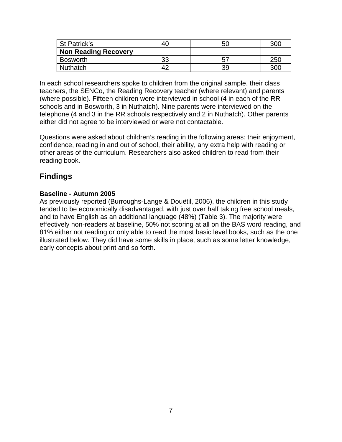| St Patrick's                | -4u | 50 | <b>300</b> |
|-----------------------------|-----|----|------------|
| <b>Non Reading Recovery</b> |     |    |            |
| <b>Bosworth</b>             | 33  |    | 25(        |
| <b>Nuthatch</b>             |     | 39 | 300        |

In each school researchers spoke to children from the original sample, their class teachers, the SENCo, the Reading Recovery teacher (where relevant) and parents (where possible). Fifteen children were interviewed in school (4 in each of the RR schools and in Bosworth, 3 in Nuthatch). Nine parents were interviewed on the telephone (4 and 3 in the RR schools respectively and 2 in Nuthatch). Other parents either did not agree to be interviewed or were not contactable.

Questions were asked about children's reading in the following areas: their enjoyment, confidence, reading in and out of school, their ability, any extra help with reading or other areas of the curriculum. Researchers also asked children to read from their reading book.

## **Findings**

#### **Baseline - Autumn 2005**

As previously reported (Burroughs-Lange & Douëtil, 2006), the children in this study tended to be economically disadvantaged, with just over half taking free school meals, and to have English as an additional language (48%) (Table 3). The majority were effectively non-readers at baseline, 50% not scoring at all on the BAS word reading, and 81% either not reading or only able to read the most basic level books, such as the one illustrated below. They did have some skills in place, such as some letter knowledge, early concepts about print and so forth.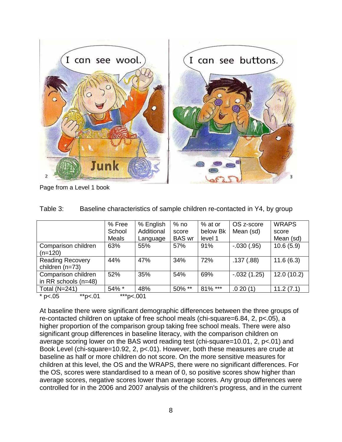

Page from a Level 1 book

|                         | % Free       | % English  | $%$ no        | % at or  | OS z-score     | <b>WRAPS</b> |
|-------------------------|--------------|------------|---------------|----------|----------------|--------------|
|                         | School       | Additional | score         | below Bk | Mean (sd)      | score        |
|                         | <b>Meals</b> | Language   | <b>BAS</b> wr | level 1  |                | Mean (sd)    |
| Comparison children     | 63%          | 55%        | 57%           | 91%      | $-0.030(0.95)$ | 10.6(5.9)    |
| $(n=120)$               |              |            |               |          |                |              |
| <b>Reading Recovery</b> | 44%          | 47%        | 34%           | 72%      | .137(.88)      | 11.6(6.3)    |
| children (n=73)         |              |            |               |          |                |              |
| Comparison children     | 52%          | 35%        | 54%           | 69%      | $-0.032(1.25)$ | 12.0(10.2)   |
| in RR schools $(n=48)$  |              |            |               |          |                |              |
| <b>Total (N=241)</b>    | 54% *        | 48%        | 50% **        | 81% ***  | .020(1)        | 11.2(7.1)    |
| ** $p<.01$<br>* $p<.05$ | ***p<.001    |            |               |          |                |              |

| Table 3: | Baseline characteristics of sample children re-contacted in Y4, by group |  |
|----------|--------------------------------------------------------------------------|--|
|----------|--------------------------------------------------------------------------|--|

At baseline there were significant demographic differences between the three groups of re-contacted children on uptake of free school meals (chi-square=6.84, 2, p<.05), a higher proportion of the comparison group taking free school meals. There were also significant group differences in baseline literacy, with the comparison children on average scoring lower on the BAS word reading test (chi-square=10.01, 2, p<.01) and Book Level (chi-square=10.92, 2, p<.01). However, both these measures are crude at baseline as half or more children do not score. On the more sensitive measures for children at this level, the OS and the WRAPS, there were no significant differences. For the OS, scores were standardised to a mean of 0, so positive scores show higher than average scores, negative scores lower than average scores. Any group differences were controlled for in the 2006 and 2007 analysis of the children's progress, and in the current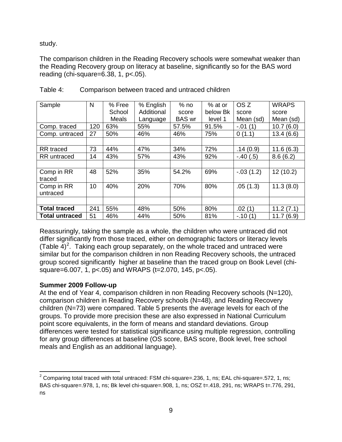study.

The comparison children in the Reading Recovery schools were somewhat weaker than the Reading Recovery group on literacy at baseline, significantly so for the BAS word reading (chi-square=6.38, 1, p<.05).

| Sample                | N   | % Free       | % English  | $%$ no        | % at or  | OS <sub>Z</sub> | <b>WRAPS</b> |
|-----------------------|-----|--------------|------------|---------------|----------|-----------------|--------------|
|                       |     | School       | Additional | score         | below Bk | score           | score        |
|                       |     | <b>Meals</b> | Language   | <b>BAS</b> wr | level 1  | Mean (sd)       | Mean (sd)    |
| Comp. traced          | 120 | 63%          | 55%        | 57.5%         | 91.5%    | $-.01(1)$       | 10.7(6.0)    |
| Comp. untraced        | 27  | 50%          | 46%        | 46%           | 75%      | 0(1.1)          | 13.4(6.6)    |
|                       |     |              |            |               |          |                 |              |
| RR traced             | 73  | 44%          | 47%        | 34%           | 72%      | .14(0.9)        | 11.6(6.3)    |
| <b>RR</b> untraced    | 14  | 43%          | 57%        | 43%           | 92%      | $-.40(.5)$      | 8.6(6.2)     |
|                       |     |              |            |               |          |                 |              |
| Comp in RR            | 48  | 52%          | 35%        | 54.2%         | 69%      | $-.03(1.2)$     | 12 (10.2)    |
| traced                |     |              |            |               |          |                 |              |
| Comp in RR            | 10  | 40%          | 20%        | 70%           | 80%      | .05(1.3)        | 11.3(8.0)    |
| untraced              |     |              |            |               |          |                 |              |
|                       |     |              |            |               |          |                 |              |
| <b>Total traced</b>   | 241 | 55%          | 48%        | 50%           | 80%      | .02(1)          | 11.2(7.1)    |
| <b>Total untraced</b> | 51  | 46%          | 44%        | 50%           | 81%      | $-.10(1)$       | 11.7(6.9)    |

Table 4: Comparison between traced and untraced children

Reassuringly, taking the sample as a whole, the children who were untraced did not differ significantly from those traced, either on demographic factors or literacy levels (Table  $\overline{4}$ )<sup>[2](#page-8-0)</sup>. Taking each group separately, on the whole traced and untraced were similar but for the comparison children in non Reading Recovery schools, the untraced group scored significantly higher at baseline than the traced group on Book Level (chisquare=6.007, 1, p<.05) and WRAPS (t=2.070, 145, p<.05).

#### **Summer 2009 Follow-up**

At the end of Year 4, comparison children in non Reading Recovery schools (N=120), comparison children in Reading Recovery schools (N=48), and Reading Recovery children (N=73) were compared. Table 5 presents the average levels for each of the groups. To provide more precision these are also expressed in National Curriculum point score equivalents, in the form of means and standard deviations. Group differences were tested for statistical significance using multiple regression, controlling for any group differences at baseline (OS score, BAS score, Book level, free school meals and English as an additional language).

<span id="page-8-0"></span> $2$  Comparing total traced with total untraced: FSM chi-square=.236, 1, ns; EAL chi-square=.572, 1, ns; BAS chi-square=.978, 1, ns; Bk level chi-square=.908, 1, ns; OSZ t=.418, 291, ns; WRAPS t=.776, 291, ns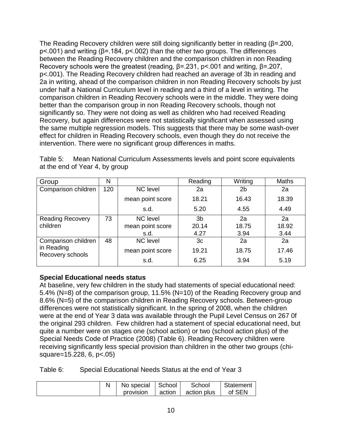The Reading Recovery children were still doing significantly better in reading (β=.200, p<.001) and writing (β=.184, p<.002) than the other two groups. The differences between the Reading Recovery children and the comparison children in non Reading Recovery schools were the greatest (reading, β=.231, p<.001 and writing, β=.207, p<.001). The Reading Recovery children had reached an average of 3b in reading and 2a in writing, ahead of the comparison children in non Reading Recovery schools by just under half a National Curriculum level in reading and a third of a level in writing. The comparison children in Reading Recovery schools were in the middle. They were doing better than the comparison group in non Reading Recovery schools, though not significantly so. They were not doing as well as children who had received Reading Recovery, but again differences were not statistically significant when assessed using the same multiple regression models. This suggests that there may be some wash-over effect for children in Reading Recovery schools, even though they do not receive the intervention. There were no significant group differences in maths.

| Group                          | N   |                  | Reading | Writing | <b>Maths</b> |
|--------------------------------|-----|------------------|---------|---------|--------------|
| Comparison children            | 120 | <b>NC</b> level  | 2a      | 2b      | 2a           |
|                                |     | mean point score | 18.21   | 16.43   | 18.39        |
|                                |     | s.d.             | 5.20    | 4.55    | 4.49         |
| <b>Reading Recovery</b>        | 73  | NC level         | 3b      | 2a      | 2a           |
| children                       |     | mean point score | 20.14   | 18.75   | 18.92        |
|                                |     | s.d.             | 4.27    | 3.94    | 3.44         |
| Comparison children            | 48  | <b>NC</b> level  | 3c      | 2a      | 2a           |
| in Reading<br>Recovery schools |     | mean point score | 19.21   | 18.75   | 17.46        |
|                                |     | s.d.             | 6.25    | 3.94    | 5.19         |

Table 5: Mean National Curriculum Assessments levels and point score equivalents at the end of Year 4, by group

#### **Special Educational needs status**

At baseline, very few children in the study had statements of special educational need: 5.4% (N=8) of the comparison group, 11.5% (N=10) of the Reading Recovery group and 8.6% (N=5) of the comparison children in Reading Recovery schools. Between-group differences were not statistically significant. In the spring of 2008, when the children were at the end of Year 3 data was available through the Pupil Level Census on 267 0f the original 293 children. Few children had a statement of special educational need, but quite a number were on stages one (school action) or two (school action plus) of the Special Needs Code of Practice (2008) (Table 6). Reading Recovery children were receiving significantly less special provision than children in the other two groups (chisquare=15.228, 6, p<.05)

Table 6: Special Educational Needs Status at the end of Year 3

|  | No special School | School                        | Statement |
|--|-------------------|-------------------------------|-----------|
|  | provision         | action   action plus   of SEN |           |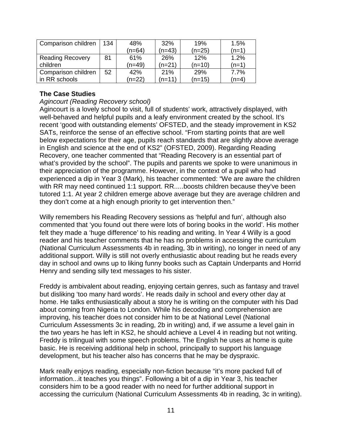| Comparison children     | 134 | 48%    | 32%      | 19%    | 1.5%    |
|-------------------------|-----|--------|----------|--------|---------|
|                         |     | (n=64) | $(n=43)$ | (n=25) | $(n=1)$ |
| <b>Reading Recovery</b> | 81  | 61%    | 26%      | 12%    | 1.2%    |
| children                |     | (n=49) | $(n=21)$ | (n=10) | $(n=1)$ |
| Comparison children     | 52  | 42%    | 21%      | 29%    | 7.7%    |
| in RR schools           |     | (n=22) | $(n=11)$ | (n=15) | $(n=4)$ |

#### **The Case Studies**

#### *Agincourt (Reading Recovery school)*

Agincourt is a lovely school to visit, full of students' work, attractively displayed, with well-behaved and helpful pupils and a leafy environment created by the school. It's recent 'good with outstanding elements' OFSTED, and the steady improvement in KS2 SATs, reinforce the sense of an effective school. "From starting points that are well below expectations for their age, pupils reach standards that are slightly above average in English and science at the end of KS2" (OFSTED, 2009). Regarding Reading Recovery, one teacher commented that "Reading Recovery is an essential part of what's provided by the school". The pupils and parents we spoke to were unanimous in their appreciation of the programme. However, in the context of a pupil who had experienced a dip in Year 3 (Mark), his teacher commented: "We are aware the children with RR may need continued 1:1 support. RR.....boosts children because they've been tutored 1:1. At year 2 children emerge above average but they are average children and they don't come at a high enough priority to get intervention then."

Willy remembers his Reading Recovery sessions as 'helpful and fun', although also commented that 'you found out there were lots of boring books in the world'. His mother felt they made a 'huge difference' to his reading and writing. In Year 4 Willy is a good reader and his teacher comments that he has no problems in accessing the curriculum (National Curriculum Assessments 4b in reading, 3b in writing), no longer in need of any additional support. Willy is still not overly enthusiastic about reading but he reads every day in school and owns up to liking funny books such as Captain Underpants and Horrid Henry and sending silly text messages to his sister.

Freddy is ambivalent about reading, enjoying certain genres, such as fantasy and travel but disliking 'too many hard words'. He reads daily in school and every other day at home. He talks enthusiastically about a story he is writing on the computer with his Dad about coming from Nigeria to London. While his decoding and comprehension are improving, his teacher does not consider him to be at National Level (National Curriculum Assessments 3c in reading, 2b in writing) and, if we assume a level gain in the two years he has left in KS2, he should achieve a Level 4 in reading but not writing. Freddy is trilingual with some speech problems. The English he uses at home is quite basic. He is receiving additional help in school, principally to support his language development, but his teacher also has concerns that he may be dyspraxic.

Mark really enjoys reading, especially non-fiction because "it's more packed full of information...it teaches you things". Following a bit of a dip in Year 3, his teacher considers him to be a good reader with no need for further additional support in accessing the curriculum (National Curriculum Assessments 4b in reading, 3c in writing).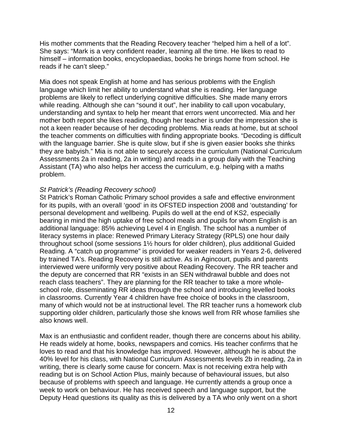His mother comments that the Reading Recovery teacher "helped him a hell of a lot". She says: "Mark is a very confident reader, learning all the time. He likes to read to himself – information books, encyclopaedias, books he brings home from school. He reads if he can't sleep."

Mia does not speak English at home and has serious problems with the English language which limit her ability to understand what she is reading. Her language problems are likely to reflect underlying cognitive difficulties. She made many errors while reading. Although she can "sound it out", her inability to call upon vocabulary, understanding and syntax to help her meant that errors went uncorrected. Mia and her mother both report she likes reading, though her teacher is under the impression she is not a keen reader because of her decoding problems. Mia reads at home, but at school the teacher comments on difficulties with finding appropriate books. "Decoding is difficult with the language barrier. She is quite slow, but if she is given easier books she thinks they are babyish." Mia is not able to securely access the curriculum (National Curriculum Assessments 2a in reading, 2a in writing) and reads in a group daily with the Teaching Assistant (TA) who also helps her access the curriculum, e.g. helping with a maths problem.

#### *St Patrick's (Reading Recovery school)*

St Patrick's Roman Catholic Primary school provides a safe and effective environment for its pupils, with an overall 'good' in its OFSTED inspection 2008 and 'outstanding' for personal development and wellbeing. Pupils do well at the end of KS2, especially bearing in mind the high uptake of free school meals and pupils for whom English is an additional language: 85% achieving Level 4 in English. The school has a number of literacy systems in place: Renewed Primary Literacy Strategy (RPLS) one hour daily throughout school (some sessions 1½ hours for older children), plus additional Guided Reading. A "catch up programme" is provided for weaker readers in Years 2-6, delivered by trained TA's. Reading Recovery is still active. As in Agincourt, pupils and parents interviewed were uniformly very positive about Reading Recovery. The RR teacher and the deputy are concerned that RR "exists in an SEN withdrawal bubble and does not reach class teachers". They are planning for the RR teacher to take a more wholeschool role, disseminating RR ideas through the school and introducing levelled books in classrooms. Currently Year 4 children have free choice of books in the classroom, many of which would not be at instructional level. The RR teacher runs a homework club supporting older children, particularly those she knows well from RR whose families she also knows well.

Max is an enthusiastic and confident reader, though there are concerns about his ability. He reads widely at home, books, newspapers and comics. His teacher confirms that he loves to read and that his knowledge has improved. However, although he is about the 40% level for his class, with National Curriculum Assessments levels 2b in reading, 2a in writing, there is clearly some cause for concern. Max is not receiving extra help with reading but is on School Action Plus, mainly because of behavioural issues, but also because of problems with speech and language. He currently attends a group once a week to work on behaviour. He has received speech and language support, but the Deputy Head questions its quality as this is delivered by a TA who only went on a short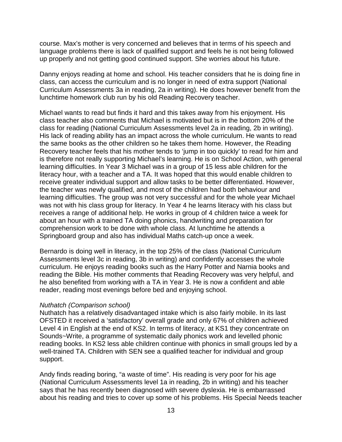course. Max's mother is very concerned and believes that in terms of his speech and language problems there is lack of qualified support and feels he is not being followed up properly and not getting good continued support. She worries about his future.

Danny enjoys reading at home and school. His teacher considers that he is doing fine in class, can access the curriculum and is no longer in need of extra support (National Curriculum Assessments 3a in reading, 2a in writing). He does however benefit from the lunchtime homework club run by his old Reading Recovery teacher.

Michael wants to read but finds it hard and this takes away from his enjoyment. His class teacher also comments that Michael is motivated but is in the bottom 20% of the class for reading (National Curriculum Assessments level 2a in reading, 2b in writing). His lack of reading ability has an impact across the whole curriculum. He wants to read the same books as the other children so he takes them home. However, the Reading Recovery teacher feels that his mother tends to 'jump in too quickly' to read for him and is therefore not really supporting Michael's learning. He is on School Action, with general learning difficulties. In Year 3 Michael was in a group of 15 less able children for the literacy hour, with a teacher and a TA. It was hoped that this would enable children to receive greater individual support and allow tasks to be better differentiated. However, the teacher was newly qualified, and most of the children had both behaviour and learning difficulties. The group was not very successful and for the whole year Michael was not with his class group for literacy. In Year 4 he learns literacy with his class but receives a range of additional help. He works in group of 4 children twice a week for about an hour with a trained TA doing phonics, handwriting and preparation for comprehension work to be done with whole class. At lunchtime he attends a Springboard group and also has individual Maths catch-up once a week.

Bernardo is doing well in literacy, in the top 25% of the class (National Curriculum Assessments level 3c in reading, 3b in writing) and confidently accesses the whole curriculum. He enjoys reading books such as the Harry Potter and Narnia books and reading the Bible. His mother comments that Reading Recovery was very helpful, and he also benefited from working with a TA in Year 3. He is now a confident and able reader, reading most evenings before bed and enjoying school.

#### *Nuthatch (Comparison school)*

Nuthatch has a relatively disadvantaged intake which is also fairly mobile. In its last OFSTED it received a 'satisfactory' overall grade and only 67% of children achieved Level 4 in English at the end of KS2. In terms of literacy, at KS1 they concentrate on Sounds~Write, a programme of systematic daily phonics work and levelled phonic reading books. In KS2 less able children continue with phonics in small groups led by a well-trained TA. Children with SEN see a qualified teacher for individual and group support.

Andy finds reading boring, "a waste of time". His reading is very poor for his age (National Curriculum Assessments level 1a in reading, 2b in writing) and his teacher says that he has recently been diagnosed with severe dyslexia. He is embarrassed about his reading and tries to cover up some of his problems. His Special Needs teacher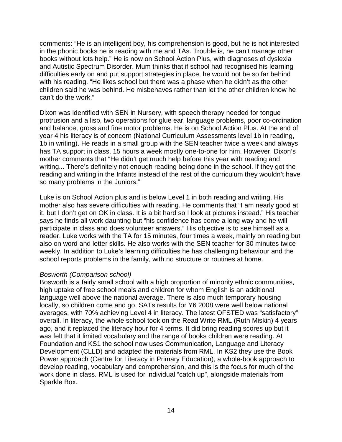comments: "He is an intelligent boy, his comprehension is good, but he is not interested in the phonic books he is reading with me and TAs. Trouble is, he can't manage other books without lots help." He is now on School Action Plus, with diagnoses of dyslexia and Autistic Spectrum Disorder. Mum thinks that if school had recognised his learning difficulties early on and put support strategies in place, he would not be so far behind with his reading. "He likes school but there was a phase when he didn't as the other children said he was behind. He misbehaves rather than let the other children know he can't do the work."

Dixon was identified with SEN in Nursery, with speech therapy needed for tongue protrusion and a lisp, two operations for glue ear, language problems, poor co-ordination and balance, gross and fine motor problems. He is on School Action Plus. At the end of year 4 his literacy is of concern (National Curriculum Assessments level 1b in reading, 1b in writing). He reads in a small group with the SEN teacher twice a week and always has TA support in class, 15 hours a week mostly one-to-one for him. However, Dixon's mother comments that "He didn't get much help before this year with reading and writing... There's definitely not enough reading being done in the school. If they got the reading and writing in the Infants instead of the rest of the curriculum they wouldn't have so many problems in the Juniors."

Luke is on School Action plus and is below Level 1 in both reading and writing. His mother also has severe difficulties with reading. He comments that "I am nearly good at it, but I don't get on OK in class. It is a bit hard so I look at pictures instead." His teacher says he finds all work daunting but "his confidence has come a long way and he will participate in class and does volunteer answers." His objective is to see himself as a reader. Luke works with the TA for 15 minutes, four times a week, mainly on reading but also on word and letter skills. He also works with the SEN teacher for 30 minutes twice weekly. In addition to Luke's learning difficulties he has challenging behaviour and the school reports problems in the family, with no structure or routines at home.

#### *Bosworth (Comparison school)*

Bosworth is a fairly small school with a high proportion of minority ethnic communities, high uptake of free school meals and children for whom English is an additional language well above the national average. There is also much temporary housing locally, so children come and go. SATs results for Y6 2008 were well below national averages, with 70% achieving Level 4 in literacy. The latest OFSTED was "satisfactory" overall. In literacy, the whole school took on the Read Write RML (Ruth Miskin) 4 years ago, and it replaced the literacy hour for 4 terms. It did bring reading scores up but it was felt that it limited vocabulary and the range of books children were reading. At Foundation and KS1 the school now uses Communication, Language and Literacy Development (CLLD) and adapted the materials from RML. In KS2 they use the Book Power approach (Centre for Literacy in Primary Education), a whole-book approach to develop reading, vocabulary and comprehension, and this is the focus for much of the work done in class. RML is used for individual "catch up", alongside materials from Sparkle Box.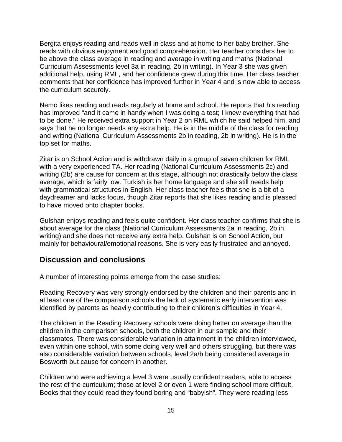Bergita enjoys reading and reads well in class and at home to her baby brother. She reads with obvious enjoyment and good comprehension. Her teacher considers her to be above the class average in reading and average in writing and maths (National Curriculum Assessments level 3a in reading, 2b in writing). In Year 3 she was given additional help, using RML, and her confidence grew during this time. Her class teacher comments that her confidence has improved further in Year 4 and is now able to access the curriculum securely.

Nemo likes reading and reads regularly at home and school. He reports that his reading has improved "and it came in handy when I was doing a test; I knew everything that had to be done." He received extra support in Year 2 on RML which he said helped him, and says that he no longer needs any extra help. He is in the middle of the class for reading and writing (National Curriculum Assessments 2b in reading, 2b in writing). He is in the top set for maths.

Zitar is on School Action and is withdrawn daily in a group of seven children for RML with a very experienced TA. Her reading (National Curriculum Assessments 2c) and writing (2b) are cause for concern at this stage, although not drastically below the class average, which is fairly low. Turkish is her home language and she still needs help with grammatical structures in English. Her class teacher feels that she is a bit of a daydreamer and lacks focus, though Zitar reports that she likes reading and is pleased to have moved onto chapter books.

Gulshan enjoys reading and feels quite confident. Her class teacher confirms that she is about average for the class (National Curriculum Assessments 2a in reading, 2b in writing) and she does not receive any extra help. Gulshan is on School Action, but mainly for behavioural/emotional reasons. She is very easily frustrated and annoyed.

#### **Discussion and conclusions**

A number of interesting points emerge from the case studies:

Reading Recovery was very strongly endorsed by the children and their parents and in at least one of the comparison schools the lack of systematic early intervention was identified by parents as heavily contributing to their children's difficulties in Year 4.

The children in the Reading Recovery schools were doing better on average than the children in the comparison schools, both the children in our sample and their classmates. There was considerable variation in attainment in the children interviewed, even within one school, with some doing very well and others struggling, but there was also considerable variation between schools, level 2a/b being considered average in Bosworth but cause for concern in another.

Children who were achieving a level 3 were usually confident readers, able to access the rest of the curriculum; those at level 2 or even 1 were finding school more difficult. Books that they could read they found boring and "babyish". They were reading less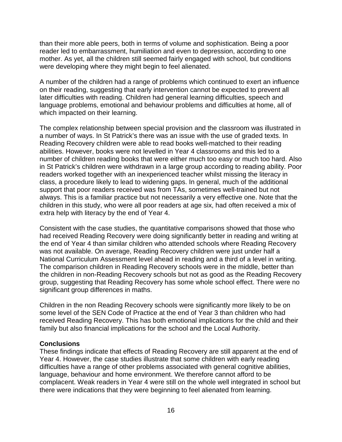than their more able peers, both in terms of volume and sophistication. Being a poor reader led to embarrassment, humiliation and even to depression, according to one mother. As yet, all the children still seemed fairly engaged with school, but conditions were developing where they might begin to feel alienated.

A number of the children had a range of problems which continued to exert an influence on their reading, suggesting that early intervention cannot be expected to prevent all later difficulties with reading. Children had general learning difficulties, speech and language problems, emotional and behaviour problems and difficulties at home, all of which impacted on their learning.

The complex relationship between special provision and the classroom was illustrated in a number of ways. In St Patrick's there was an issue with the use of graded texts. In Reading Recovery children were able to read books well-matched to their reading abilities. However, books were not levelled in Year 4 classrooms and this led to a number of children reading books that were either much too easy or much too hard. Also in St Patrick's children were withdrawn in a large group according to reading ability. Poor readers worked together with an inexperienced teacher whilst missing the literacy in class, a procedure likely to lead to widening gaps. In general, much of the additional support that poor readers received was from TAs, sometimes well-trained but not always. This is a familiar practice but not necessarily a very effective one. Note that the children in this study, who were all poor readers at age six, had often received a mix of extra help with literacy by the end of Year 4.

Consistent with the case studies, the quantitative comparisons showed that those who had received Reading Recovery were doing significantly better in reading and writing at the end of Year 4 than similar children who attended schools where Reading Recovery was not available. On average, Reading Recovery children were just under half a National Curriculum Assessment level ahead in reading and a third of a level in writing. The comparison children in Reading Recovery schools were in the middle, better than the children in non-Reading Recovery schools but not as good as the Reading Recovery group, suggesting that Reading Recovery has some whole school effect. There were no significant group differences in maths.

Children in the non Reading Recovery schools were significantly more likely to be on some level of the SEN Code of Practice at the end of Year 3 than children who had received Reading Recovery. This has both emotional implications for the child and their family but also financial implications for the school and the Local Authority.

#### **Conclusions**

These findings indicate that effects of Reading Recovery are still apparent at the end of Year 4. However, the case studies illustrate that some children with early reading difficulties have a range of other problems associated with general cognitive abilities, language, behaviour and home environment. We therefore cannot afford to be complacent. Weak readers in Year 4 were still on the whole well integrated in school but there were indications that they were beginning to feel alienated from learning.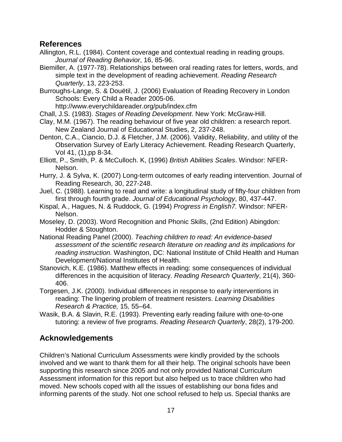### **References**

Allington, R.L. (1984). Content coverage and contextual reading in reading groups. *Journal of Reading Behavior*, 16, 85-96.

Biemiller, A. (1977-78). Relationships between oral reading rates for letters, words, and simple text in the development of reading achievement. *Reading Research Quarterly*, 13, 223-253.

Burroughs-Lange, S. & Douëtil, J. (2006) Evaluation of Reading Recovery in London Schools: Every Child a Reader 2005-06.

<http://www.everychildareader.org/pub/index.cfm>

- Chall, J.S. (1983). *Stages of Reading Development*. New York: McGraw-Hill.
- Clay, M.M. (1967). The reading behaviour of five year old children: a research report. New Zealand Journal of Educational Studies, 2, 237-248.

Denton, C.A., Ciancio, D.J. & Fletcher, J.M. (2006). Validity, Reliability, and utility of the Observation Survey of Early Literacy Achievement. Reading Research Quarterly, Vol 41, (1),pp 8-34.

Elliott, P., Smith, P. & McCulloch. K, (1996) *British Abilities Scales*. Windsor: NFER-Nelson.

- Hurry, J. & Sylva, K. (2007) Long-term outcomes of early reading intervention. Journal of Reading Research, 30, 227-248.
- Juel, C. (1988). Learning to read and write: a longitudinal study of fifty-four children from first through fourth grade. *Journal of Educational Psychology*, 80, 437-447.
- Kispal, A., Hagues, N. & Ruddock, G. (1994) *Progress in English7.* Windsor: NFER-Nelson.
- Moseley, D. (2003). Word Recognition and Phonic Skills, (2nd Edition) Abingdon: Hodder & Stoughton.
- National Reading Panel (2000). *Teaching children to read: An evidence-based assessment of the scientific research literature on reading and its implications for reading instruction.* Washington, DC: National Institute of Child Health and Human Development/National Institutes of Health.
- Stanovich, K.E. (1986). Matthew effects in reading: some consequences of individual differences in the acquisition of literacy. *Reading Research Quarterly*, 21(4), 360- 406.
- Torgesen, J.K. (2000). Individual differences in response to early interventions in reading: The lingering problem of treatment resisters. *Learning Disabilities Research & Practice,* 15*,* 55–64.
- Wasik, B.A. & Slavin, R.E. (1993). Preventing early reading failure with one-to-one tutoring: a review of five programs. *Reading Research Quarterly*, 28(2), 179-200.

# **Acknowledgements**

Children's National Curriculum Assessments were kindly provided by the schools involved and we want to thank them for all their help. The original schools have been supporting this research since 2005 and not only provided National Curriculum Assessment information for this report but also helped us to trace children who had moved. New schools coped with all the issues of establishing our bona fides and informing parents of the study. Not one school refused to help us. Special thanks are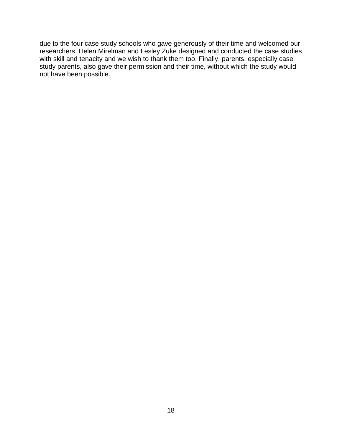due to the four case study schools who gave generously of their time and welcomed our researchers. Helen Mirelman and Lesley Zuke designed and conducted the case studies with skill and tenacity and we wish to thank them too. Finally, parents, especially case study parents, also gave their permission and their time, without which the study would not have been possible.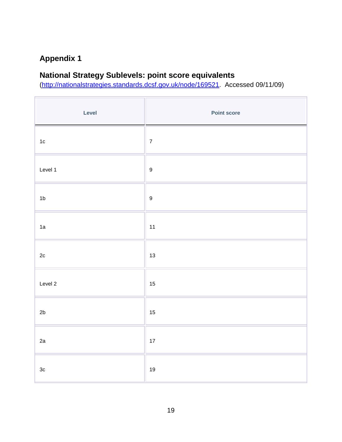# **Appendix 1**

# **National Strategy Sublevels: point score equivalents**

[\(http://nationalstrategies.standards.dcsf.gov.uk/node/169521.](http://nationalstrategies.standards.dcsf.gov.uk/node/169521) Accessed 09/11/09)

| Level          | <b>Point score</b> |
|----------------|--------------------|
| $1c$           | $\overline{7}$     |
| Level 1        | $\boldsymbol{9}$   |
| 1 <sub>b</sub> | $\boldsymbol{9}$   |
| 1a             | 11                 |
| $2\mathtt{c}$  | 13                 |
| Level 2        | 15                 |
| 2b             | 15                 |
| 2a             | $17$               |
| $3\mathrm{c}$  | $19$               |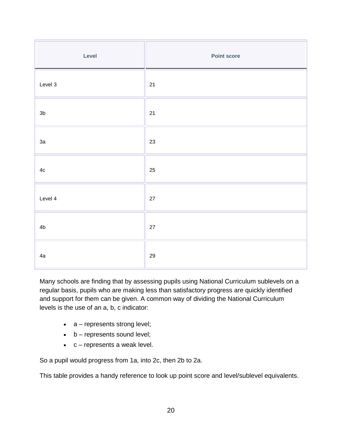| Level          | <b>Point score</b> |
|----------------|--------------------|
| Level 3        | $21$               |
| 3 <sub>b</sub> | $21$               |
| 3a             | 23                 |
| $4\mathrm{c}$  | 25                 |
| Level 4        | 27                 |
| 4 <sub>b</sub> | $27\,$             |
| 4a             | $29\,$             |

Many schools are finding that by assessing pupils using National Curriculum sublevels on a regular basis, pupils who are making less than satisfactory progress are quickly identified and support for them can be given. A common way of dividing the National Curriculum levels is the use of an a, b, c indicator:

- a represents strong level;
- $\bullet$  b represents sound level;
- $\bullet$   $c$  represents a weak level.

So a pupil would progress from 1a, into 2c, then 2b to 2a.

This table provides a handy reference to look up point score and level/sublevel equivalents.